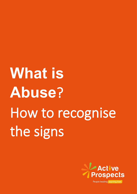# **What is Abuse**? How to recognise the signs

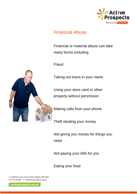

## Financial Abuse

Financial or material abuse can take many forms including

Fraud

Taking out loans in your name

Using your store card or other property without persmision

Making calls from your phone

Theft stealing your money

Not giving you money for things you need

Not paying your bills for you

Eating your food

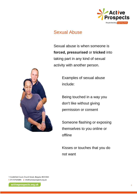

## Sexual Abuse

Sexual abuse is when someone is **forced, pressurised** or **tricked** into taking part in any kind of sexual activity with another person.



Examples of sexual abuse include:

Being touched in a way you don't like without giving permission or consent

Someone flashing or exposing themselves to you online or offline

Kisses or touches that you do not want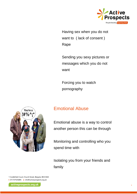

Having sex when you do not want to ( lack of consent ) Rape

Sending you sexy pictures or messages which you do not want

Forcing you to watch pornography



# Emotional Abuse

Emotional abuse is a way to control another person this can be through

Monitoring and controlling who you spend time with

Isolating you from your friends and family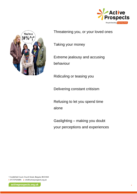



Threatening you, or your loved ones

Taking your money

Extreme jealousy and accusing behaviour

Ridiculing or teasing you

Delivering constant critisism

Refusing to let you spend time alone

Gaslighting – making you doubt your perceptions and experiences

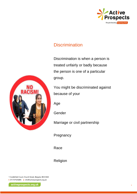

# **Discrimination**

Discrimination is when a [person](https://simple.wikipedia.org/wiki/Person) is treated unfairly or badly because the person is one of a particular group.

You might be discriminated against because of your

[Age](https://simple.wikipedia.org/wiki/Aging)

Gender

Marriage or civil partnership

Pregnancy

Race

Religion

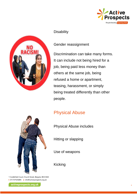



### **Disability**

## Gender reassignment

Discrimination can take many forms. It can include not being hired for a job, being paid less [money](https://simple.wikipedia.org/wiki/Money) than others at the same job, being refused a [home](https://simple.wikipedia.org/wiki/Home) or [apartment,](https://simple.wikipedia.org/wiki/Apartment) [teasing,](https://simple.wikipedia.org/wiki/Teasing) [harassment,](https://simple.wikipedia.org/wiki/Harass) or simply being treated differently than other people.

# Physical Abuse

Physical Abuse includes

Hitting or slapping

Use of weapons

Kicking



activeprospects.org.uk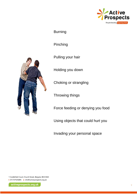

Burning

Pinching

Pulling your hair

Holding you down

Choking or strangling

**Throwing things** 

Force feeding or denying you food

Using objects that could hurt you

Invading your personal space



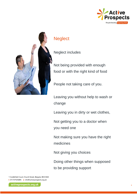



# **Neglect**

Neglect includes

Not being provided with enough food or with the right kind of food

People not taking care of you.

Leaving you without help to wash or change

Leaving you in dirty or wet clothes,

Not getting you to a doctor when you need one

Not making sure you have the right medicines

Not giving you choices

Doing other things when supposed to be providing support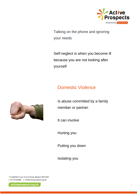

Talking on the phone and ignoring your needs

Self-neglect is when you become ill because you are not looking after yourself

# Domestic Violence



Is abuse committed by a family member or partner.

It can involve

Hurting you

Putting you down

Isolating you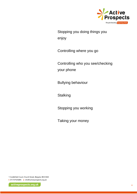

Stopping you doing things you enjoy

Controlling where you go

Controlling who you see/checking your phone

Bullying behaviour

**Stalking** 

Stopping you working

Taking your money

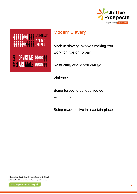

# Modern Slavery



Restricting where you can go

Violence

Being forced to do jobs you don't want to do

Being made to live in a certain place

1 Castlefield Court, Church Street, Reigate, RH2 0AH t 01737924084 e info@activeprospects.org.uk

**ARARARARARA MESSEES** 

E 1 OF VICTIMS *\*\*\*\*\**\*\*

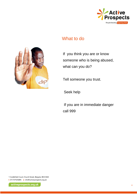

## What to do



If you think you are or know someone who is being abused, what can you do?

Tell someone you trust.

Seek help

If you are in immediate danger call 999

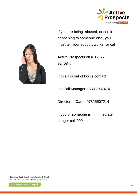

If you are being abused, or see it happening to someone else, you must tell your support worker or call

Active Prospects on (01737) 924084.

If this it is out of hours contact

On Call Manager 07412037474

Director of Care 07825507214

If you or someone is in immediate danger call 999



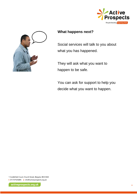



## **What happens next?**

Social services will talk to you about what you has happened.

They will ask what you want to happen to be safe.

You can ask for support to help you decide what you want to happen.